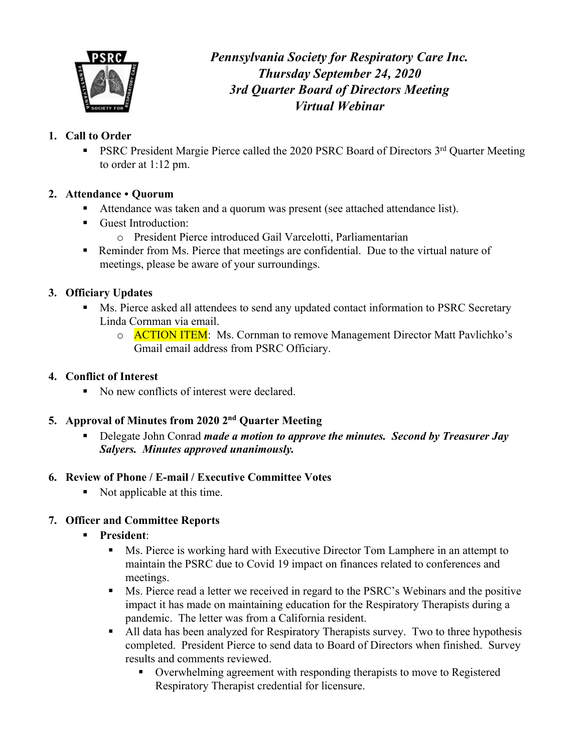

*Pennsylvania Society for Respiratory Care Inc. Thursday September 24, 2020 3rd Quarter Board of Directors Meeting Virtual Webinar* 

## **1. Call to Order**

PSRC President Margie Pierce called the 2020 PSRC Board of Directors 3rd Quarter Meeting to order at 1:12 pm.

### **2. Attendance** • **Quorum**

- Attendance was taken and a quorum was present (see attached attendance list).
- Guest Introduction:
	- o President Pierce introduced Gail Varcelotti, Parliamentarian
- Reminder from Ms. Pierce that meetings are confidential. Due to the virtual nature of meetings, please be aware of your surroundings.

## **3. Officiary Updates**

- Ms. Pierce asked all attendees to send any updated contact information to PSRC Secretary Linda Cornman via email.
	- o **ACTION ITEM**: Ms. Cornman to remove Management Director Matt Pavlichko's Gmail email address from PSRC Officiary.

### **4. Conflict of Interest**

■ No new conflicts of interest were declared.

### **5. Approval of Minutes from 2020 2nd Quarter Meeting**

§ Delegate John Conrad *made a motion to approve the minutes. Second by Treasurer Jay Salyers. Minutes approved unanimously.*

### **6. Review of Phone / E-mail / Executive Committee Votes**

■ Not applicable at this time.

# **7. Officer and Committee Reports**

- § **President**:
	- Ms. Pierce is working hard with Executive Director Tom Lamphere in an attempt to maintain the PSRC due to Covid 19 impact on finances related to conferences and meetings.
	- Ms. Pierce read a letter we received in regard to the PSRC's Webinars and the positive impact it has made on maintaining education for the Respiratory Therapists during a pandemic. The letter was from a California resident.
	- All data has been analyzed for Respiratory Therapists survey. Two to three hypothesis completed. President Pierce to send data to Board of Directors when finished. Survey results and comments reviewed.
		- § Overwhelming agreement with responding therapists to move to Registered Respiratory Therapist credential for licensure.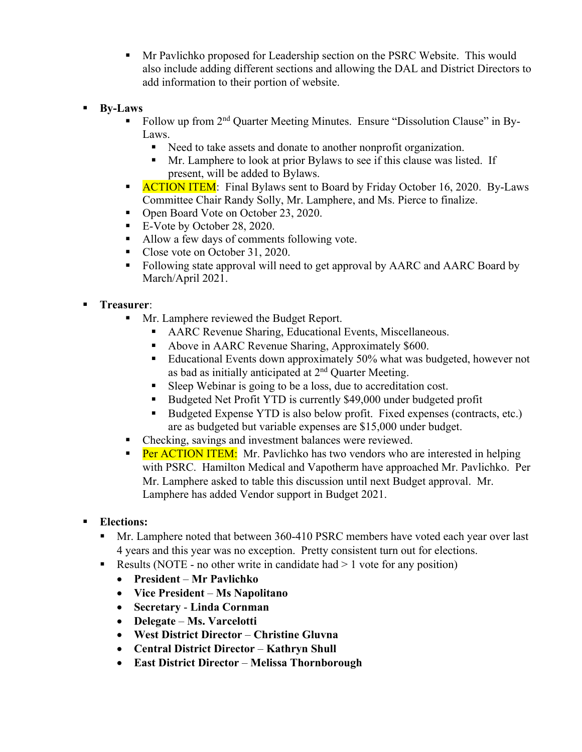- § Mr Pavlichko proposed for Leadership section on the PSRC Website. This would also include adding different sections and allowing the DAL and District Directors to add information to their portion of website.
- § **By-Laws**
	- § Follow up from 2nd Quarter Meeting Minutes. Ensure "Dissolution Clause" in By-Laws.
		- Need to take assets and donate to another nonprofit organization.
		- § Mr. Lamphere to look at prior Bylaws to see if this clause was listed. If present, will be added to Bylaws.
	- **EXECTION ITEM:** Final Bylaws sent to Board by Friday October 16, 2020. By-Laws Committee Chair Randy Solly, Mr. Lamphere, and Ms. Pierce to finalize.
	- Open Board Vote on October 23, 2020.
	- E-Vote by October 28, 2020.
	- Allow a few days of comments following vote.
	- Close vote on October 31, 2020.
	- Following state approval will need to get approval by AARC and AARC Board by March/April 2021.

#### § **Treasurer**:

- Mr. Lamphere reviewed the Budget Report.
	- AARC Revenue Sharing, Educational Events, Miscellaneous.
	- Above in AARC Revenue Sharing, Approximately \$600.
	- Educational Events down approximately 50% what was budgeted, however not as bad as initially anticipated at 2nd Quarter Meeting.
	- Sleep Webinar is going to be a loss, due to accreditation cost.
	- Budgeted Net Profit YTD is currently \$49,000 under budgeted profit
	- Budgeted Expense YTD is also below profit. Fixed expenses (contracts, etc.) are as budgeted but variable expenses are \$15,000 under budget.
- Checking, savings and investment balances were reviewed.
- **Per ACTION ITEM:** Mr. Pavlichko has two vendors who are interested in helping with PSRC. Hamilton Medical and Vapotherm have approached Mr. Pavlichko. Per Mr. Lamphere asked to table this discussion until next Budget approval. Mr. Lamphere has added Vendor support in Budget 2021.
- § **Elections:** 
	- § Mr. Lamphere noted that between 360-410 PSRC members have voted each year over last 4 years and this year was no exception. Pretty consistent turn out for elections.
	- E Results (NOTE no other write in candidate had  $> 1$  vote for any position)
		- **President Mr Pavlichko**
		- **Vice President Ms Napolitano**
		- **Secretary Linda Cornman**
		- **Delegate Ms. Varcelotti**
		- **West District Director Christine Gluvna**
		- **Central District Director Kathryn Shull**
		- **East District Director Melissa Thornborough**